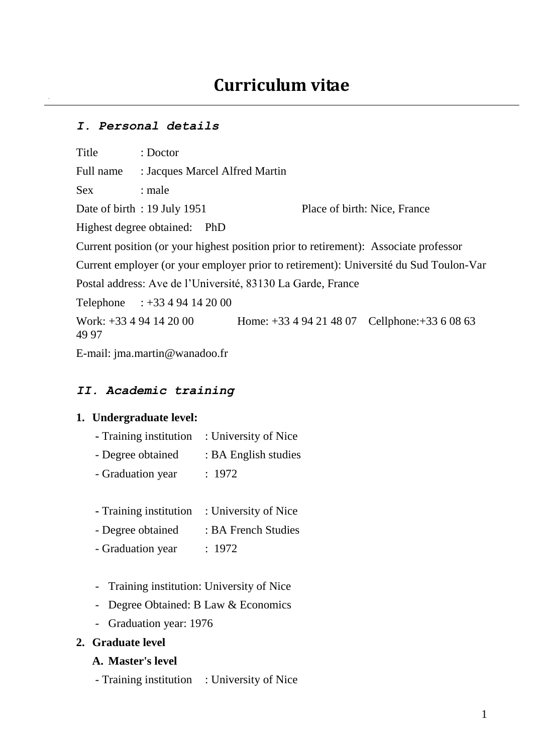### *I. Personal details*

Title : Doctor

Full name : Jacques Marcel Alfred Martin

Sex : male

Date of birth : 19 July 1951 Place of birth: Nice, France

Highest degree obtained: PhD

Current position (or your highest position prior to retirement): Associate professor

Current employer (or your employer prior to retirement): Université du Sud Toulon-Var

Postal address: Ave de l'Université, 83130 La Garde, France

Telephone : +33 4 94 14 20 00

Work: +33 4 94 14 20 00 Home: +33 4 94 21 48 07 Cellphone: +33 6 08 63 49 97

E-mail: jma.martin@wanadoo.fr

### *II. Academic training*

#### **1. Undergraduate level:**

- **-** Training institution : University of Nice
- Degree obtained : BA English studies
- Graduation year : 1972
- **-** Training institution : University of Nice
- Degree obtained : BA French Studies
- Graduation year : 1972
- Training institution: University of Nice
- Degree Obtained: B Law & Economics
- Graduation year: 1976

### **2. Graduate level**

### **A. Master's level**

- Training institution : University of Nice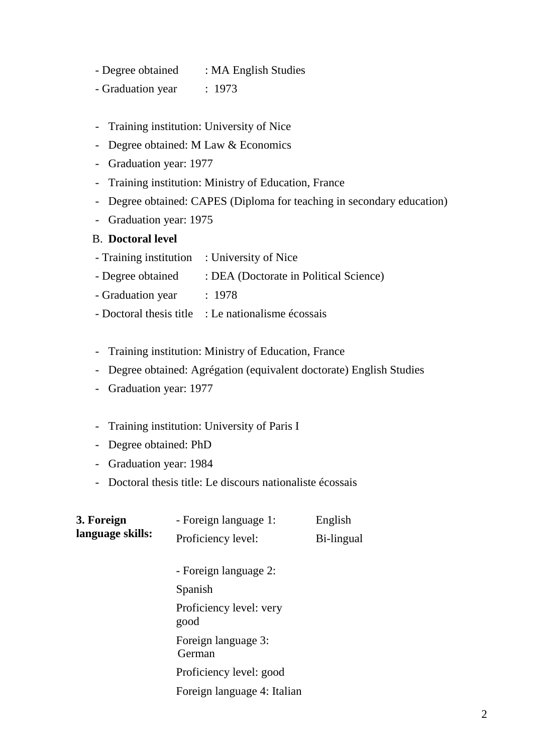- Degree obtained : MA English Studies
- Graduation year : 1973
- Training institution: University of Nice
- Degree obtained: M Law & Economics
- Graduation year: 1977
- Training institution: Ministry of Education, France
- Degree obtained: CAPES (Diploma for teaching in secondary education)
- Graduation year: 1975

### B. **Doctoral level**

- Training institution : University of Nice
- Degree obtained : DEA (Doctorate in Political Science)
- Graduation year : 1978
- Doctoral thesis title : Le nationalisme écossais
- Training institution: Ministry of Education, France
- Degree obtained: Agrégation (equivalent doctorate) English Studies
- Graduation year: 1977
- Training institution: University of Paris I
- Degree obtained: PhD
- Graduation year: 1984
- Doctoral thesis title: Le discours nationaliste écossais

| 3. Foreign<br>language skills: | - Foreign language 1:           | English    |
|--------------------------------|---------------------------------|------------|
|                                | Proficiency level:              | Bi-lingual |
|                                | - Foreign language 2:           |            |
|                                | Spanish                         |            |
|                                | Proficiency level: very<br>good |            |
|                                | Foreign language 3:<br>German   |            |
|                                | Proficiency level: good         |            |
|                                | Foreign language 4: Italian     |            |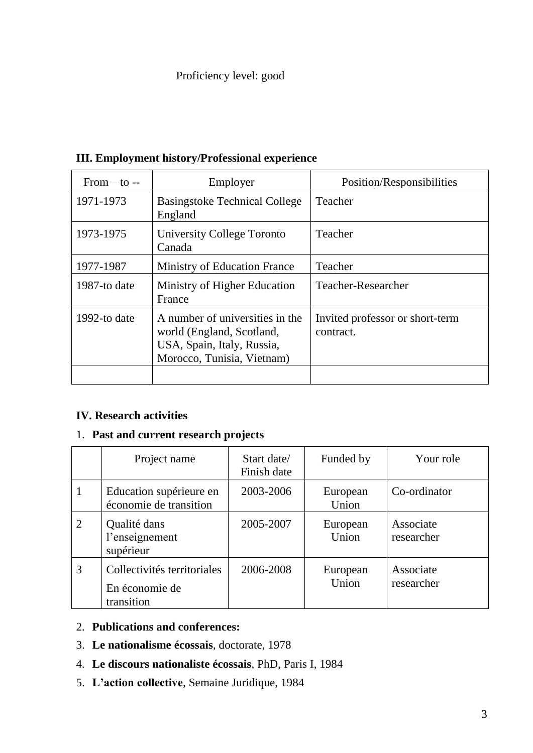# Proficiency level: good

| $From - to -$ | Employer                                                                                                                 | Position/Responsibilities                    |
|---------------|--------------------------------------------------------------------------------------------------------------------------|----------------------------------------------|
| 1971-1973     | <b>Basingstoke Technical College</b><br>England                                                                          | Teacher                                      |
| 1973-1975     | University College Toronto<br>Canada                                                                                     | Teacher                                      |
| 1977-1987     | <b>Ministry of Education France</b>                                                                                      | Teacher                                      |
| 1987-to date  | Ministry of Higher Education<br>France                                                                                   | Teacher-Researcher                           |
| 1992-to date  | A number of universities in the<br>world (England, Scotland,<br>USA, Spain, Italy, Russia,<br>Morocco, Tunisia, Vietnam) | Invited professor or short-term<br>contract. |

# **III. Employment history/Professional experience**

## **IV. Research activities**

# 1. **Past and current research projects**

|                | Project name                                                | Start date/<br>Finish date | Funded by         | Your role               |
|----------------|-------------------------------------------------------------|----------------------------|-------------------|-------------------------|
|                | Education supérieure en<br>économie de transition           | 2003-2006                  | European<br>Union | Co-ordinator            |
| $\overline{2}$ | Qualité dans<br>l'enseignement<br>supérieur                 | 2005-2007                  | European<br>Union | Associate<br>researcher |
| 3              | Collectivités territoriales<br>En économie de<br>transition | 2006-2008                  | European<br>Union | Associate<br>researcher |

# 2. **Publications and conferences:**

- 3. **Le nationalisme écossais**, doctorate, 1978
- 4. **Le discours nationaliste écossais**, PhD, Paris I, 1984
- 5. **L'action collective**, Semaine Juridique, 1984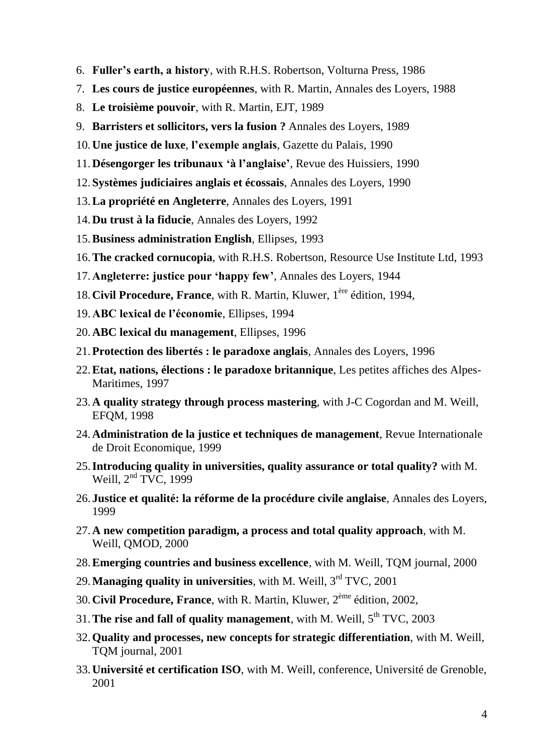- 6. **Fuller's earth, a history**, with R.H.S. Robertson, Volturna Press, 1986
- 7. **Les cours de justice européennes**, with R. Martin, Annales des Loyers, 1988
- 8. **Le troisième pouvoir**, with R. Martin, EJT, 1989
- 9. **Barristers et sollicitors, vers la fusion ?** Annales des Loyers, 1989
- 10.**Une justice de luxe**, **l'exemple anglais**, Gazette du Palais, 1990
- 11.**Désengorger les tribunaux 'à l'anglaise'**, Revue des Huissiers, 1990
- 12.**Systèmes judiciaires anglais et écossais**, Annales des Loyers, 1990
- 13.**La propriété en Angleterre**, Annales des Loyers, 1991
- 14.**Du trust à la fiducie**, Annales des Loyers, 1992
- 15.**Business administration English**, Ellipses, 1993
- 16.**The cracked cornucopia**, with R.H.S. Robertson, Resource Use Institute Ltd, 1993
- 17.**Angleterre: justice pour 'happy few'**, Annales des Loyers, 1944
- 18.**Civil Procedure, France**, with R. Martin, Kluwer, 1ère édition, 1994,
- 19.**ABC lexical de l'économie**, Ellipses, 1994
- 20.**ABC lexical du management**, Ellipses, 1996
- 21.**Protection des libertés : le paradoxe anglais**, Annales des Loyers, 1996
- 22.**Etat, nations, élections : le paradoxe britannique**, Les petites affiches des Alpes-Maritimes, 1997
- 23.**A quality strategy through process mastering**, with J-C Cogordan and M. Weill, EFQM, 1998
- 24.**Administration de la justice et techniques de management**, Revue Internationale de Droit Economique, 1999
- 25.**Introducing quality in universities, quality assurance or total quality?** with M. Weill,  $2<sup>nd</sup> TVC$ , 1999
- 26. **Justice et qualité: la réforme de la procédure civile anglaise**, Annales des Loyers, 1999
- 27.**A new competition paradigm, a process and total quality approach**, with M. Weill, QMOD, 2000
- 28.**Emerging countries and business excellence**, with M. Weill, TQM journal, 2000
- 29.**Managing quality in universities**, with M. Weill, 3rd TVC, 2001
- 30.**Civil Procedure, France**, with R. Martin, Kluwer, 2ème édition, 2002,
- 31. The rise and fall of quality management, with M. Weill,  $5<sup>th</sup> TVC$ , 2003
- 32.**Quality and processes, new concepts for strategic differentiation**, with M. Weill, TQM journal, 2001
- 33.**Université et certification ISO**, with M. Weill, conference, Université de Grenoble, 2001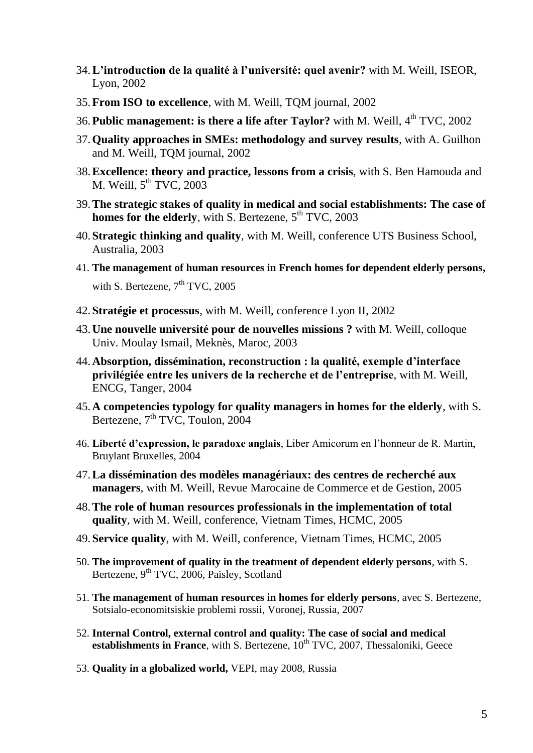- 34.**L'introduction de la qualité à l'université: quel avenir?** with M. Weill, ISEOR, Lyon, 2002
- 35.**From ISO to excellence**, with M. Weill, TQM journal, 2002
- 36. Public management: is there a life after Taylor? with M. Weill, 4<sup>th</sup> TVC, 2002
- 37.**Quality approaches in SMEs: methodology and survey results**, with A. Guilhon and M. Weill, TQM journal, 2002
- 38.**Excellence: theory and practice, lessons from a crisis**, with S. Ben Hamouda and M. Weill,  $5<sup>th</sup> TVC$ , 2003
- 39.**The strategic stakes of quality in medical and social establishments: The case of homes for the elderly**, with S. Bertezene, 5<sup>th</sup> TVC, 2003
- 40.**Strategic thinking and quality**, with M. Weill, conference UTS Business School, Australia, 2003
- 41. **The management of human resources in French homes for dependent elderly persons,**  with S. Bertezene,  $7<sup>th</sup> TVC$ , 2005
- 42.**Stratégie et processus**, with M. Weill, conference Lyon II, 2002
- 43.**Une nouvelle université pour de nouvelles missions ?** with M. Weill, colloque Univ. Moulay Ismail, Meknès, Maroc, 2003
- 44.**Absorption, dissémination, reconstruction : la qualité, exemple d'interface privilégiée entre les univers de la recherche et de l'entreprise**, with M. Weill, ENCG, Tanger, 2004
- 45.**A competencies typology for quality managers in homes for the elderly**, with S. Bertezene,  $7<sup>th</sup> TVC$ , Toulon, 2004
- 46. **Liberté d'expression, le paradoxe anglais**, Liber Amicorum en l'honneur de R. Martin, Bruylant Bruxelles, 2004
- 47.**La dissémination des modèles managériaux: des centres de recherché aux managers**, with M. Weill, Revue Marocaine de Commerce et de Gestion, 2005
- 48.**The role of human resources professionals in the implementation of total quality**, with M. Weill, conference, Vietnam Times, HCMC, 2005
- 49.**Service quality**, with M. Weill, conference, Vietnam Times, HCMC, 2005
- 50. **The improvement of quality in the treatment of dependent elderly persons**, with S. Bertezene, 9<sup>th</sup> TVC, 2006, Paisley, Scotland
- 51. **The management of human resources in homes for elderly persons**, avec S. Bertezene, Sotsialo-economitsiskie problemi rossii, Voronej, Russia, 2007
- 52. **Internal Control, external control and quality: The case of social and medical establishments in France**, with S. Bertezene,  $10^{th}$  TVC, 2007, Thessaloniki, Geece
- 53. **Quality in a globalized world,** VEPI, may 2008, Russia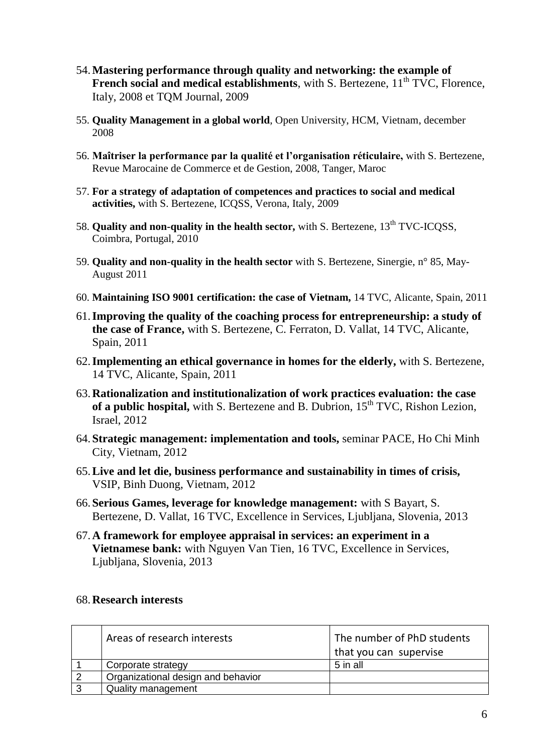- 54.**Mastering performance through quality and networking: the example of French social and medical establishments**, with S. Bertezene, 11<sup>th</sup> TVC, Florence, Italy, 2008 et TQM Journal, 2009
- 55. **Quality Management in a global world**, Open University, HCM, Vietnam, december 2008
- 56. **Maîtriser la performance par la qualité et l'organisation réticulaire,** with S. Bertezene, Revue Marocaine de Commerce et de Gestion, 2008, Tanger, Maroc
- 57. **For a strategy of adaptation of competences and practices to social and medical activities,** with S. Bertezene, ICQSS, Verona, Italy, 2009
- 58. **Quality and non-quality in the health sector,** with S. Bertezene, 13<sup>th</sup> TVC-ICQSS, Coimbra, Portugal, 2010
- 59. **Quality and non-quality in the health sector** with S. Bertezene, Sinergie, n° 85, May-August 2011
- 60. **Maintaining ISO 9001 certification: the case of Vietnam,** 14 TVC, Alicante, Spain, 2011
- 61.**Improving the quality of the coaching process for entrepreneurship: a study of the case of France,** with S. Bertezene, C. Ferraton, D. Vallat, 14 TVC, Alicante, Spain, 2011
- 62.**Implementing an ethical governance in homes for the elderly,** with S. Bertezene, 14 TVC, Alicante, Spain, 2011
- 63.**Rationalization and institutionalization of work practices evaluation: the case**  of a public hospital, with S. Bertezene and B. Dubrion, 15<sup>th</sup> TVC, Rishon Lezion, Israel, 2012
- 64.**Strategic management: implementation and tools,** seminar PACE, Ho Chi Minh City, Vietnam, 2012
- 65.**Live and let die, business performance and sustainability in times of crisis,**  VSIP, Binh Duong, Vietnam, 2012
- 66.**Serious Games, leverage for knowledge management:** with S Bayart, S. Bertezene, D. Vallat, 16 TVC, Excellence in Services, Ljubljana, Slovenia, 2013
- 67.**A framework for employee appraisal in services: an experiment in a Vietnamese bank:** with Nguyen Van Tien, 16 TVC, Excellence in Services, Ljubljana, Slovenia, 2013

#### 68.**Research interests**

| Areas of research interests        | The number of PhD students |
|------------------------------------|----------------------------|
|                                    | that you can supervise     |
| Corporate strategy                 | 5 in all                   |
| Organizational design and behavior |                            |
| Quality management                 |                            |